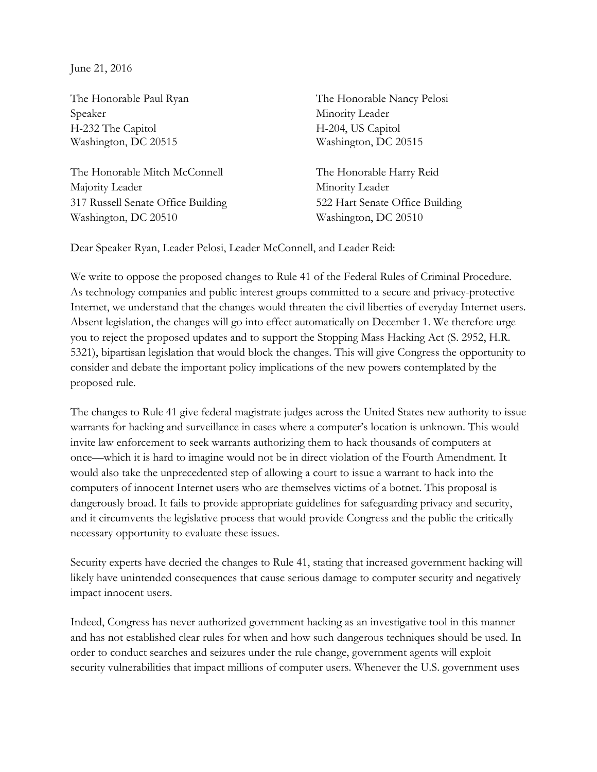June 21, 2016

Speaker Minority Leader H-232 The Capitol H-204, US Capitol Washington, DC 20515 Washington, DC 20515

The Honorable Mitch McConnell The Honorable Harry Reid Majority Leader Minority Leader 317 Russell Senate Office Building 522 Hart Senate Office Building Washington, DC 20510 Washington, DC 20510

The Honorable Paul Ryan The Honorable Nancy Pelosi

Dear Speaker Ryan, Leader Pelosi, Leader McConnell, and Leader Reid:

We write to oppose the proposed changes to Rule 41 of the Federal Rules of Criminal Procedure. As technology companies and public interest groups committed to a secure and privacy-protective Internet, we understand that the changes would threaten the civil liberties of everyday Internet users. Absent legislation, the changes will go into effect automatically on December 1. We therefore urge you to reject the proposed updates and to support the Stopping Mass Hacking Act (S. 2952, H.R. 5321), bipartisan legislation that would block the changes. This will give Congress the opportunity to consider and debate the important policy implications of the new powers contemplated by the proposed rule.

The changes to Rule 41 give federal magistrate judges across the United States new authority to issue warrants for hacking and surveillance in cases where a computer's location is unknown. This would invite law enforcement to seek warrants authorizing them to hack thousands of computers at once—which it is hard to imagine would not be in direct violation of the Fourth Amendment. It would also take the unprecedented step of allowing a court to issue a warrant to hack into the computers of innocent Internet users who are themselves victims of a botnet. This proposal is dangerously broad. It fails to provide appropriate guidelines for safeguarding privacy and security, and it circumvents the legislative process that would provide Congress and the public the critically necessary opportunity to evaluate these issues.

Security experts have decried the changes to Rule 41, stating that increased government hacking will likely have unintended consequences that cause serious damage to computer security and negatively impact innocent users.

Indeed, Congress has never authorized government hacking as an investigative tool in this manner and has not established clear rules for when and how such dangerous techniques should be used. In order to conduct searches and seizures under the rule change, government agents will exploit security vulnerabilities that impact millions of computer users. Whenever the U.S. government uses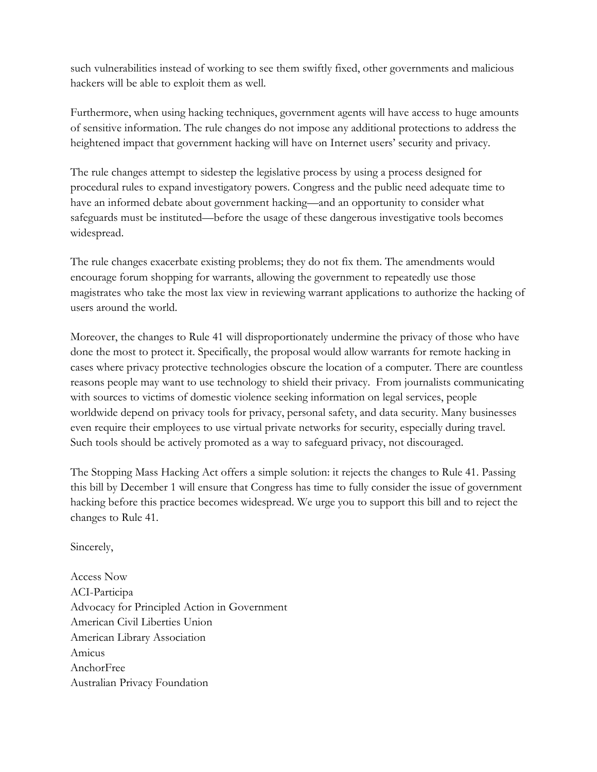such vulnerabilities instead of working to see them swiftly fixed, other governments and malicious hackers will be able to exploit them as well.

Furthermore, when using hacking techniques, government agents will have access to huge amounts of sensitive information. The rule changes do not impose any additional protections to address the heightened impact that government hacking will have on Internet users' security and privacy.

The rule changes attempt to sidestep the legislative process by using a process designed for procedural rules to expand investigatory powers. Congress and the public need adequate time to have an informed debate about government hacking—and an opportunity to consider what safeguards must be instituted—before the usage of these dangerous investigative tools becomes widespread.

The rule changes exacerbate existing problems; they do not fix them. The amendments would encourage forum shopping for warrants, allowing the government to repeatedly use those magistrates who take the most lax view in reviewing warrant applications to authorize the hacking of users around the world.

Moreover, the changes to Rule 41 will disproportionately undermine the privacy of those who have done the most to protect it. Specifically, the proposal would allow warrants for remote hacking in cases where privacy protective technologies obscure the location of a computer. There are countless reasons people may want to use technology to shield their privacy. From journalists communicating with sources to victims of domestic violence seeking information on legal services, people worldwide depend on privacy tools for privacy, personal safety, and data security. Many businesses even require their employees to use virtual private networks for security, especially during travel. Such tools should be actively promoted as a way to safeguard privacy, not discouraged.

The Stopping Mass Hacking Act offers a simple solution: it rejects the changes to Rule 41. Passing this bill by December 1 will ensure that Congress has time to fully consider the issue of government hacking before this practice becomes widespread. We urge you to support this bill and to reject the changes to Rule 41.

Sincerely,

Access Now ACI-Participa Advocacy for Principled Action in Government American Civil Liberties Union American Library Association Amicus AnchorFree Australian Privacy Foundation